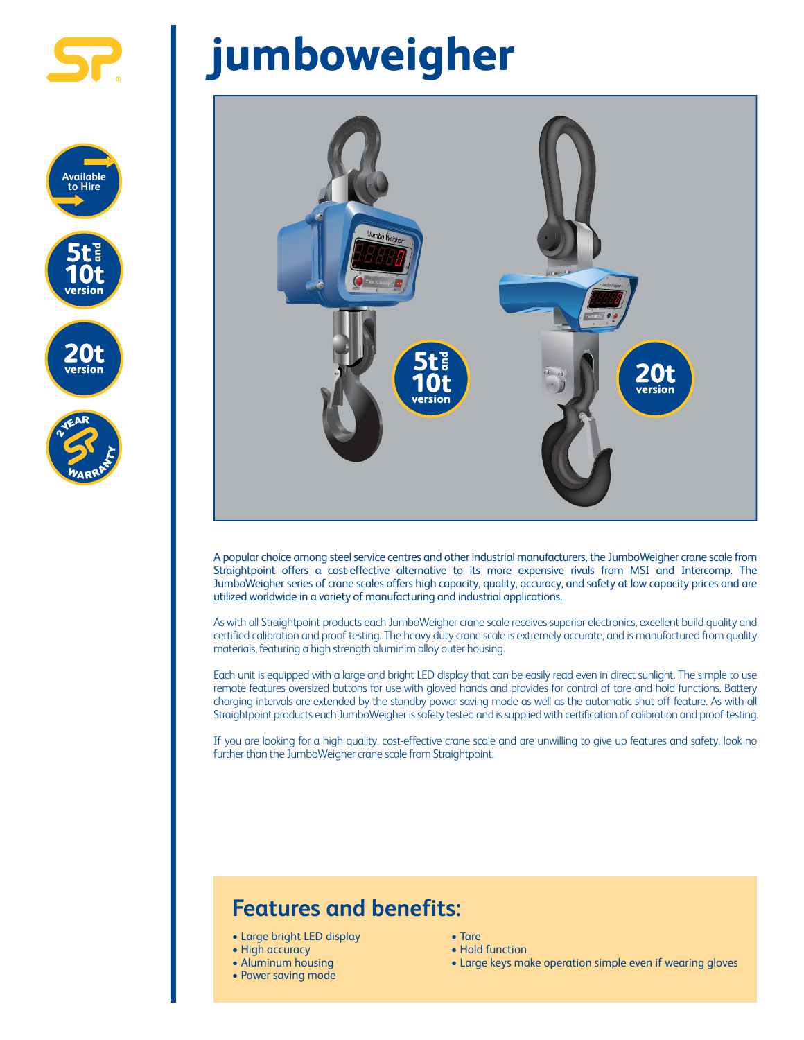

**Available to Hire**

## **jumboweigher**



A popular choice among steel service centres and other industrial manufacturers, the JumboWeigher crane scale from Straightpoint offers a cost-effective alternative to its more expensive rivals from MSI and Intercomp. The JumboWeigher series of crane scales offers high capacity, quality, accuracy, and safety at low capacity prices and are utilized worldwide in a variety of manufacturing and industrial applications.

As with all Straightpoint products each JumboWeigher crane scale receives superior electronics, excellent build quality and certified calibration and proof testing. The heavy duty crane scale is extremely accurate, and is manufactured from quality materials, featuring a high strength aluminim alloy outer housing.

Each unit is equipped with a large and bright LED display that can be easily read even in direct sunlight. The simple to use remote features oversized buttons for use with gloved hands and provides for control of tare and hold functions. Battery charging intervals are extended by the standby power saving mode as well as the automatic shut off feature. As with all Straightpoint products each JumboWeigher is safety tested and is supplied with certification of calibration and proof testing.

If you are looking for a high quality, cost-effective crane scale and are unwilling to give up features and safety, look no further than the JumboWeigher crane scale from Straightpoint.

## **Features and benefits:**

- Large bright LED display
- High accuracy
- Aluminum housing
- Power saving mode
- Tare • Hold function
- Large keys make operation simple even if wearing gloves
-